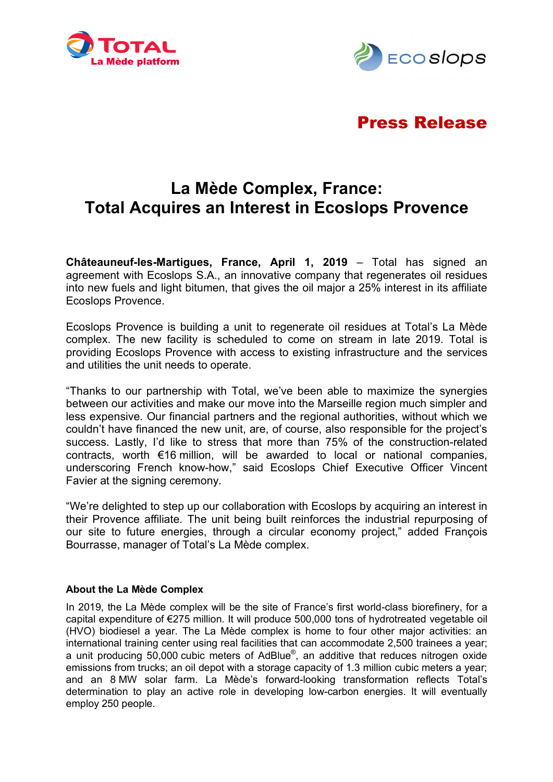



# Press Release

# **La Mède Complex, France: Total Acquires an Interest in Ecoslops Provence**

**Châteauneuf-les-Martigues, France, April 1, 2019** – Total has signed an agreement with Ecoslops S.A., an innovative company that regenerates oil residues into new fuels and light bitumen, that gives the oil major a 25% interest in its affiliate Ecoslops Provence.

Ecoslops Provence is building a unit to regenerate oil residues at Total's La Mède complex. The new facility is scheduled to come on stream in late 2019. Total is providing Ecoslops Provence with access to existing infrastructure and the services and utilities the unit needs to operate.

"Thanks to our partnership with Total, we've been able to maximize the synergies between our activities and make our move into the Marseille region much simpler and less expensive*.* Our financial partners and the regional authorities, without which we couldn't have financed the new unit, are, of course, also responsible for the project's success. Lastly, I'd like to stress that more than 75% of the construction-related contracts, worth €16 million, will be awarded to local or national companies, underscoring French know-how," said Ecoslops Chief Executive Officer Vincent Favier at the signing ceremony.

"We're delighted to step up our collaboration with Ecoslops by acquiring an interest in their Provence affiliate*.* The unit being built reinforces the industrial repurposing of our site to future energies, through a circular economy project," added François Bourrasse, manager of Total's La Mède complex.

## **About the La Mède Complex**

In 2019, the La Mède complex will be the site of France's first world-class biorefinery, for a capital expenditure of €275 million. It will produce 500,000 tons of hydrotreated vegetable oil (HVO) biodiesel a year. The La Mède complex is home to four other major activities: an international training center using real facilities that can accommodate 2,500 trainees a year; a unit producing 50,000 cubic meters of AdBlue®, an additive that reduces nitrogen oxide emissions from trucks; an oil depot with a storage capacity of 1.3 million cubic meters a year; and an 8 MW solar farm. La Mède's forward-looking transformation reflects Total's determination to play an active role in developing low-carbon energies. It will eventually employ 250 people.